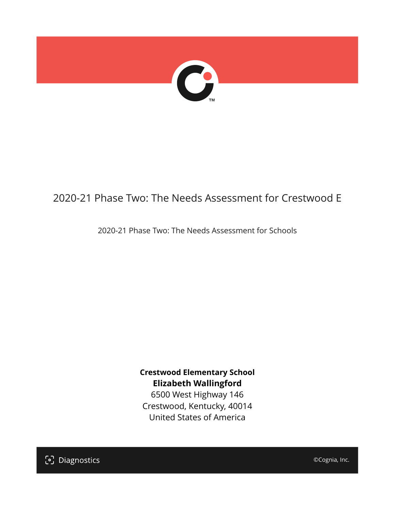

# 2020-21 Phase Two: The Needs Assessment for Crestwood E

2020-21 Phase Two: The Needs Assessment for Schools

**Crestwood Elementary School Elizabeth Wallingford** 6500 West Highway 146 Crestwood, Kentucky, 40014 United States of America

[၁] Diagnostics

©Cognia, Inc.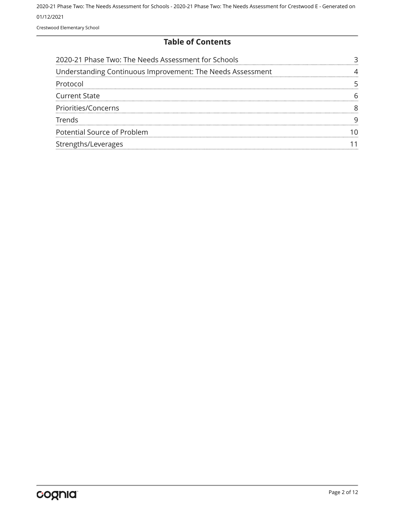Crestwood Elementary School

#### **Table of Contents**

| 2020-21 Phase Two: The Needs Assessment for Schools        |  |
|------------------------------------------------------------|--|
| Understanding Continuous Improvement: The Needs Assessment |  |
| Protocol                                                   |  |
| <b>Current State</b>                                       |  |
| Priorities/Concerns                                        |  |
| Trends                                                     |  |
| Potential Source of Problem                                |  |
| Strengths/Leverages                                        |  |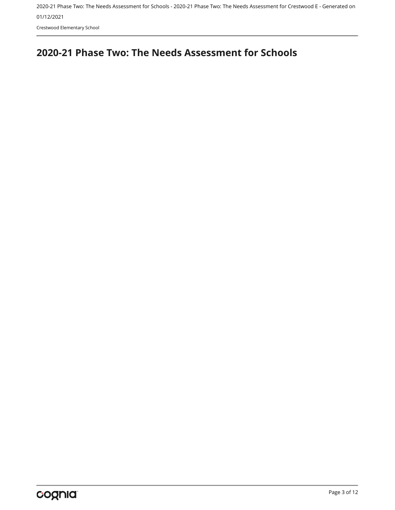Crestwood Elementary School

# <span id="page-2-0"></span>**2020-21 Phase Two: The Needs Assessment for Schools**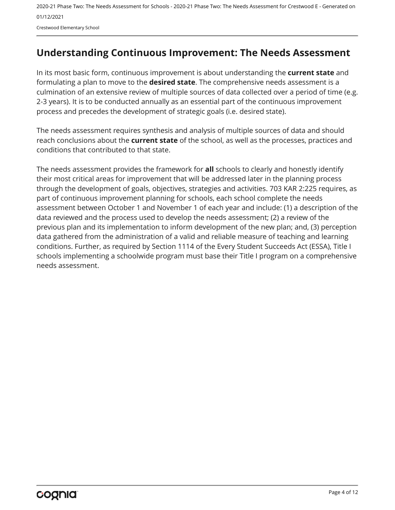Crestwood Elementary School

# <span id="page-3-0"></span>**Understanding Continuous Improvement: The Needs Assessment**

In its most basic form, continuous improvement is about understanding the **current state** and formulating a plan to move to the **desired state**. The comprehensive needs assessment is a culmination of an extensive review of multiple sources of data collected over a period of time (e.g. 2-3 years). It is to be conducted annually as an essential part of the continuous improvement process and precedes the development of strategic goals (i.e. desired state).

The needs assessment requires synthesis and analysis of multiple sources of data and should reach conclusions about the **current state** of the school, as well as the processes, practices and conditions that contributed to that state.

The needs assessment provides the framework for **all** schools to clearly and honestly identify their most critical areas for improvement that will be addressed later in the planning process through the development of goals, objectives, strategies and activities. 703 KAR 2:225 requires, as part of continuous improvement planning for schools, each school complete the needs assessment between October 1 and November 1 of each year and include: (1) a description of the data reviewed and the process used to develop the needs assessment; (2) a review of the previous plan and its implementation to inform development of the new plan; and, (3) perception data gathered from the administration of a valid and reliable measure of teaching and learning conditions. Further, as required by Section 1114 of the Every Student Succeeds Act (ESSA), Title I schools implementing a schoolwide program must base their Title I program on a comprehensive needs assessment.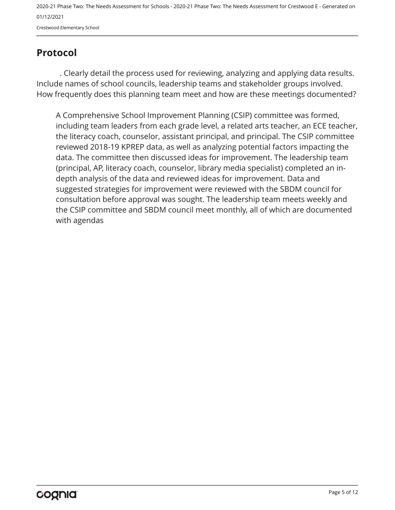Crestwood Elementary School

# <span id="page-4-0"></span>**Protocol**

. Clearly detail the process used for reviewing, analyzing and applying data results. Include names of school councils, leadership teams and stakeholder groups involved. How frequently does this planning team meet and how are these meetings documented?

A Comprehensive School Improvement Planning (CSIP) committee was formed, including team leaders from each grade level, a related arts teacher, an ECE teacher, the literacy coach, counselor, assistant principal, and principal. The CSIP committee reviewed 2018-19 KPREP data, as well as analyzing potential factors impacting the data. The committee then discussed ideas for improvement. The leadership team (principal, AP, literacy coach, counselor, library media specialist) completed an indepth analysis of the data and reviewed ideas for improvement. Data and suggested strategies for improvement were reviewed with the SBDM council for consultation before approval was sought. The leadership team meets weekly and the CSIP committee and SBDM council meet monthly, all of which are documented with agendas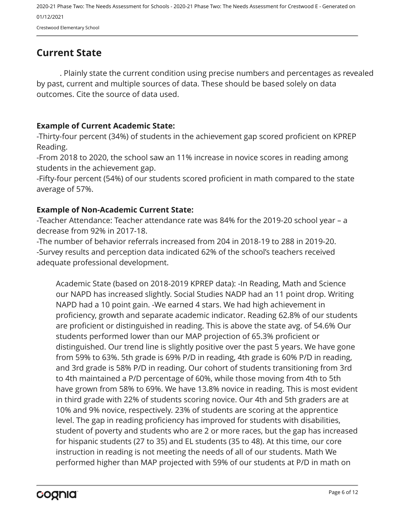Crestwood Elementary School

## <span id="page-5-0"></span>**Current State**

. Plainly state the current condition using precise numbers and percentages as revealed by past, current and multiple sources of data. These should be based solely on data outcomes. Cite the source of data used.

#### **Example of Current Academic State:**

-Thirty-four percent (34%) of students in the achievement gap scored proficient on KPREP Reading.

-From 2018 to 2020, the school saw an 11% increase in novice scores in reading among students in the achievement gap.

-Fifty-four percent (54%) of our students scored proficient in math compared to the state average of 57%.

#### **Example of Non-Academic Current State:**

-Teacher Attendance: Teacher attendance rate was 84% for the 2019-20 school year – a decrease from 92% in 2017-18.

-The number of behavior referrals increased from 204 in 2018-19 to 288 in 2019-20. -Survey results and perception data indicated 62% of the school's teachers received adequate professional development.

Academic State (based on 2018-2019 KPREP data): -In Reading, Math and Science our NAPD has increased slightly. Social Studies NADP had an 11 point drop. Writing NAPD had a 10 point gain. -We earned 4 stars. We had high achievement in proficiency, growth and separate academic indicator. Reading 62.8% of our students are proficient or distinguished in reading. This is above the state avg. of 54.6% Our students performed lower than our MAP projection of 65.3% proficient or distinguished. Our trend line is slightly positive over the past 5 years. We have gone from 59% to 63%. 5th grade is 69% P/D in reading, 4th grade is 60% P/D in reading, and 3rd grade is 58% P/D in reading. Our cohort of students transitioning from 3rd to 4th maintained a P/D percentage of 60%, while those moving from 4th to 5th have grown from 58% to 69%. We have 13.8% novice in reading. This is most evident in third grade with 22% of students scoring novice. Our 4th and 5th graders are at 10% and 9% novice, respectively. 23% of students are scoring at the apprentice level. The gap in reading proficiency has improved for students with disabilities, student of poverty and students who are 2 or more races, but the gap has increased for hispanic students (27 to 35) and EL students (35 to 48). At this time, our core instruction in reading is not meeting the needs of all of our students. Math We performed higher than MAP projected with 59% of our students at P/D in math on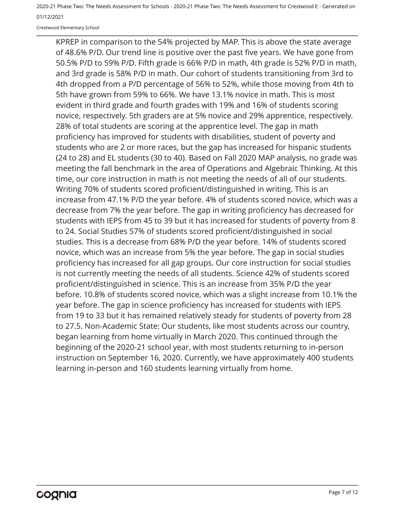Crestwood Elementary School

KPREP in comparison to the 54% projected by MAP. This is above the state average of 48.6% P/D. Our trend line is positive over the past five years. We have gone from 50.5% P/D to 59% P/D. Fifth grade is 66% P/D in math, 4th grade is 52% P/D in math, and 3rd grade is 58% P/D in math. Our cohort of students transitioning from 3rd to 4th dropped from a P/D percentage of 56% to 52%, while those moving from 4th to 5th have grown from 59% to 66%. We have 13.1% novice in math. This is most evident in third grade and fourth grades with 19% and 16% of students scoring novice, respectively. 5th graders are at 5% novice and 29% apprentice, respectively. 28% of total students are scoring at the apprentice level. The gap in math proficiency has improved for students with disabilities, student of poverty and students who are 2 or more races, but the gap has increased for hispanic students (24 to 28) and EL students (30 to 40). Based on Fall 2020 MAP analysis, no grade was meeting the fall benchmark in the area of Operations and Algebraic Thinking. At this time, our core instruction in math is not meeting the needs of all of our students. Writing 70% of students scored proficient/distinguished in writing. This is an increase from 47.1% P/D the year before. 4% of students scored novice, which was a decrease from 7% the year before. The gap in writing proficiency has decreased for students with IEPS from 45 to 39 but it has increased for students of poverty from 8 to 24. Social Studies 57% of students scored proficient/distinguished in social studies. This is a decrease from 68% P/D the year before. 14% of students scored novice, which was an increase from 5% the year before. The gap in social studies proficiency has increased for all gap groups. Our core instruction for social studies is not currently meeting the needs of all students. Science 42% of students scored proficient/distinguished in science. This is an increase from 35% P/D the year before. 10.8% of students scored novice, which was a slight increase from 10.1% the year before. The gap in science proficiency has increased for students with IEPS from 19 to 33 but it has remained relatively steady for students of poverty from 28 to 27.5. Non-Academic State: Our students, like most students across our country, began learning from home virtually in March 2020. This continued through the beginning of the 2020-21 school year, with most students returning to in-person instruction on September 16, 2020. Currently, we have approximately 400 students learning in-person and 160 students learning virtually from home.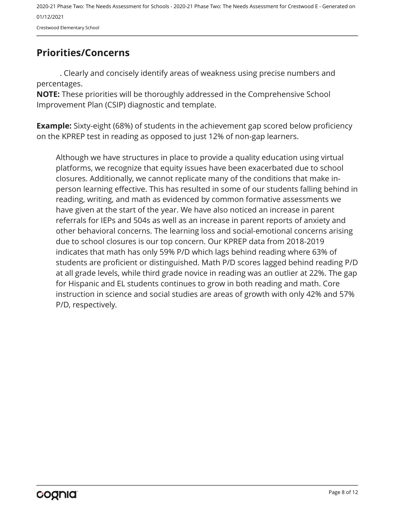Crestwood Elementary School

## <span id="page-7-0"></span>**Priorities/Concerns**

. Clearly and concisely identify areas of weakness using precise numbers and percentages.

**NOTE:** These priorities will be thoroughly addressed in the Comprehensive School Improvement Plan (CSIP) diagnostic and template.

**Example:** Sixty-eight (68%) of students in the achievement gap scored below proficiency on the KPREP test in reading as opposed to just 12% of non-gap learners.

Although we have structures in place to provide a quality education using virtual platforms, we recognize that equity issues have been exacerbated due to school closures. Additionally, we cannot replicate many of the conditions that make inperson learning effective. This has resulted in some of our students falling behind in reading, writing, and math as evidenced by common formative assessments we have given at the start of the year. We have also noticed an increase in parent referrals for IEPs and 504s as well as an increase in parent reports of anxiety and other behavioral concerns. The learning loss and social-emotional concerns arising due to school closures is our top concern. Our KPREP data from 2018-2019 indicates that math has only 59% P/D which lags behind reading where 63% of students are proficient or distinguished. Math P/D scores lagged behind reading P/D at all grade levels, while third grade novice in reading was an outlier at 22%. The gap for Hispanic and EL students continues to grow in both reading and math. Core instruction in science and social studies are areas of growth with only 42% and 57% P/D, respectively.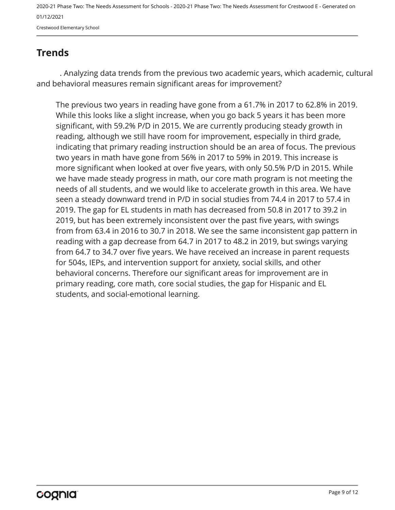Crestwood Elementary School

# <span id="page-8-0"></span>**Trends**

. Analyzing data trends from the previous two academic years, which academic, cultural and behavioral measures remain significant areas for improvement?

The previous two years in reading have gone from a 61.7% in 2017 to 62.8% in 2019. While this looks like a slight increase, when you go back 5 years it has been more significant, with 59.2% P/D in 2015. We are currently producing steady growth in reading, although we still have room for improvement, especially in third grade, indicating that primary reading instruction should be an area of focus. The previous two years in math have gone from 56% in 2017 to 59% in 2019. This increase is more significant when looked at over five years, with only 50.5% P/D in 2015. While we have made steady progress in math, our core math program is not meeting the needs of all students, and we would like to accelerate growth in this area. We have seen a steady downward trend in P/D in social studies from 74.4 in 2017 to 57.4 in 2019. The gap for EL students in math has decreased from 50.8 in 2017 to 39.2 in 2019, but has been extremely inconsistent over the past five years, with swings from from 63.4 in 2016 to 30.7 in 2018. We see the same inconsistent gap pattern in reading with a gap decrease from 64.7 in 2017 to 48.2 in 2019, but swings varying from 64.7 to 34.7 over five years. We have received an increase in parent requests for 504s, IEPs, and intervention support for anxiety, social skills, and other behavioral concerns. Therefore our significant areas for improvement are in primary reading, core math, core social studies, the gap for Hispanic and EL students, and social-emotional learning.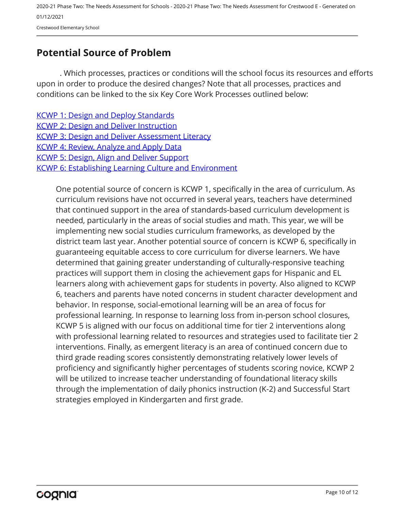2020-21 Phase Two: The Needs Assessment for Schools - 2020-21 Phase Two: The Needs Assessment for Crestwood E - Generated on 01/12/2021 Crestwood Elementary School

## <span id="page-9-0"></span>**Potential Source of Problem**

. Which processes, practices or conditions will the school focus its resources and efforts upon in order to produce the desired changes? Note that all processes, practices and conditions can be linked to the six Key Core Work Processes outlined below:

**[KCWP 1: Design and Deploy Standards](https://education.ky.gov/school/csip/Documents/KCWP 1 Strategic Design and Deploy Standards.pdf)** [KCWP 2: Design and Deliver Instruction](https://education.ky.gov/school/csip/Documents/KCWP%202%20Strategic%20Design%20and%20Deliver%20Instruction.pdf) **[KCWP 3: Design and Deliver Assessment Literacy](https://education.ky.gov/school/csip/Documents/KCWP%203%20Strategic%20Design%20and%20Deliver%20Assessment%20Literacy.pdf)** [KCWP 4: Review, Analyze and Apply Data](https://education.ky.gov/school/csip/Documents/KCWP 4 Strategic Review Analyze and Apply Data.pdf) [KCWP 5: Design, Align and Deliver Support](https://education.ky.gov/school/csip/Documents/KCWP 5 Strategic Design Align Deliver Support Processes.pdf) [KCWP 6: Establishing Learning Culture and Environment](https://education.ky.gov/school/csip/Documents/KCWP 6 Strategic Establish Learning Culture and Environment.pdf)

One potential source of concern is KCWP 1, specifically in the area of curriculum. As curriculum revisions have not occurred in several years, teachers have determined that continued support in the area of standards-based curriculum development is needed, particularly in the areas of social studies and math. This year, we will be implementing new social studies curriculum frameworks, as developed by the district team last year. Another potential source of concern is KCWP 6, specifically in guaranteeing equitable access to core curriculum for diverse learners. We have determined that gaining greater understanding of culturally-responsive teaching practices will support them in closing the achievement gaps for Hispanic and EL learners along with achievement gaps for students in poverty. Also aligned to KCWP 6, teachers and parents have noted concerns in student character development and behavior. In response, social-emotional learning will be an area of focus for professional learning. In response to learning loss from in-person school closures, KCWP 5 is aligned with our focus on additional time for tier 2 interventions along with professional learning related to resources and strategies used to facilitate tier 2 interventions. Finally, as emergent literacy is an area of continued concern due to third grade reading scores consistently demonstrating relatively lower levels of proficiency and significantly higher percentages of students scoring novice, KCWP 2 will be utilized to increase teacher understanding of foundational literacy skills through the implementation of daily phonics instruction (K-2) and Successful Start strategies employed in Kindergarten and first grade.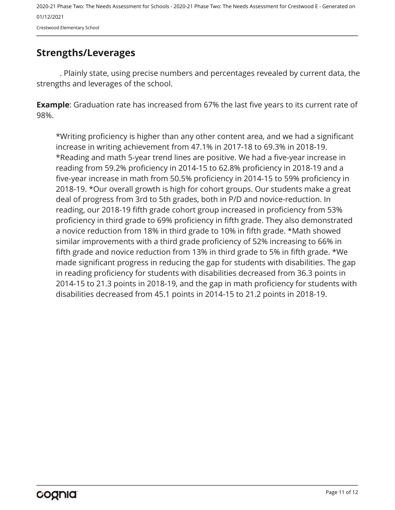Crestwood Elementary School

## <span id="page-10-0"></span>**Strengths/Leverages**

. Plainly state, using precise numbers and percentages revealed by current data, the strengths and leverages of the school.

**Example**: Graduation rate has increased from 67% the last five years to its current rate of 98%.

\*Writing proficiency is higher than any other content area, and we had a significant increase in writing achievement from 47.1% in 2017-18 to 69.3% in 2018-19. \*Reading and math 5-year trend lines are positive. We had a five-year increase in reading from 59.2% proficiency in 2014-15 to 62.8% proficiency in 2018-19 and a five-year increase in math from 50.5% proficiency in 2014-15 to 59% proficiency in 2018-19. \*Our overall growth is high for cohort groups. Our students make a great deal of progress from 3rd to 5th grades, both in P/D and novice-reduction. In reading, our 2018-19 fifth grade cohort group increased in proficiency from 53% proficiency in third grade to 69% proficiency in fifth grade. They also demonstrated a novice reduction from 18% in third grade to 10% in fifth grade. \*Math showed similar improvements with a third grade proficiency of 52% increasing to 66% in fifth grade and novice reduction from 13% in third grade to 5% in fifth grade. \*We made significant progress in reducing the gap for students with disabilities. The gap in reading proficiency for students with disabilities decreased from 36.3 points in 2014-15 to 21.3 points in 2018-19, and the gap in math proficiency for students with disabilities decreased from 45.1 points in 2014-15 to 21.2 points in 2018-19.